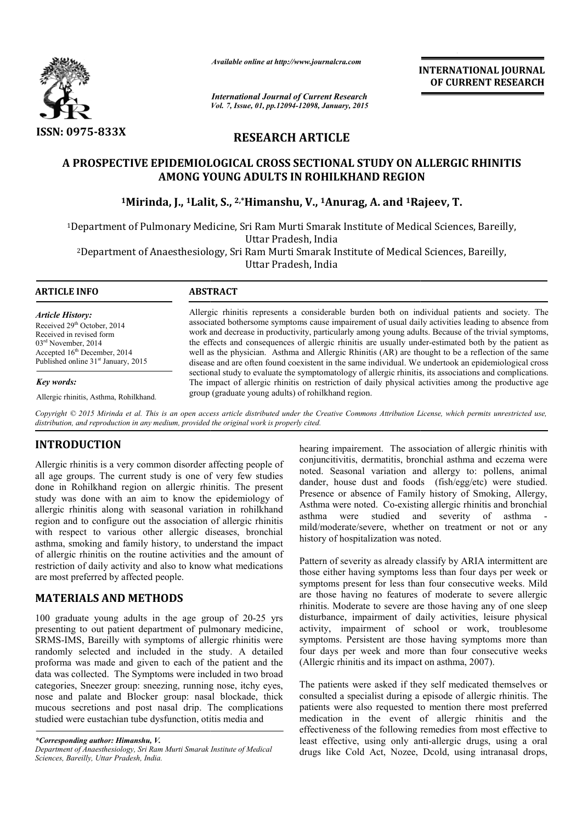

*Available online at http://www.journalcra.com*

# **RESEARCH ARTICLE**

## **A PROSPECTIVE EPIDEMIOLOGICAL CROSS SECTIONAL STUDY ON ALLERGIC RHINITIS STUDY ON AMONG YOUNG ADULTS IN ROHILKHAND REGION**

|                                                                                                                                                                                                                                                                                                                                                                                                                                                                                                                                                    | лтините опине интирулттуриниисписот                                                                                                |                                                                                                                                                                                                 | <b>INTERNATIONAL JOURNAL</b><br>OF CURRENT RESEARCH                                                                                                                                                                                                                                                                                                                                                                                                                                                                                                                                                                                                                                                                                                                                                                                                      |  |  |  |
|----------------------------------------------------------------------------------------------------------------------------------------------------------------------------------------------------------------------------------------------------------------------------------------------------------------------------------------------------------------------------------------------------------------------------------------------------------------------------------------------------------------------------------------------------|------------------------------------------------------------------------------------------------------------------------------------|-------------------------------------------------------------------------------------------------------------------------------------------------------------------------------------------------|----------------------------------------------------------------------------------------------------------------------------------------------------------------------------------------------------------------------------------------------------------------------------------------------------------------------------------------------------------------------------------------------------------------------------------------------------------------------------------------------------------------------------------------------------------------------------------------------------------------------------------------------------------------------------------------------------------------------------------------------------------------------------------------------------------------------------------------------------------|--|--|--|
|                                                                                                                                                                                                                                                                                                                                                                                                                                                                                                                                                    |                                                                                                                                    | <b>International Journal of Current Research</b><br>Vol. 7, Issue, 01, pp.12094-12098, January, 2015                                                                                            |                                                                                                                                                                                                                                                                                                                                                                                                                                                                                                                                                                                                                                                                                                                                                                                                                                                          |  |  |  |
| <b>ISSN: 0975-833X</b>                                                                                                                                                                                                                                                                                                                                                                                                                                                                                                                             |                                                                                                                                    | <b>RESEARCH ARTICLE</b>                                                                                                                                                                         |                                                                                                                                                                                                                                                                                                                                                                                                                                                                                                                                                                                                                                                                                                                                                                                                                                                          |  |  |  |
|                                                                                                                                                                                                                                                                                                                                                                                                                                                                                                                                                    | AMONG YOUNG ADULTS IN ROHILKHAND REGION                                                                                            |                                                                                                                                                                                                 | A PROSPECTIVE EPIDEMIOLOGICAL CROSS SECTIONAL STUDY ON ALLERGIC RHINITIS                                                                                                                                                                                                                                                                                                                                                                                                                                                                                                                                                                                                                                                                                                                                                                                 |  |  |  |
|                                                                                                                                                                                                                                                                                                                                                                                                                                                                                                                                                    | <sup>1</sup> Mirinda, J., <sup>1</sup> Lalit, S., <sup>2,*</sup> Himanshu, V., <sup>1</sup> Anurag, A. and <sup>1</sup> Rajeev, T. |                                                                                                                                                                                                 |                                                                                                                                                                                                                                                                                                                                                                                                                                                                                                                                                                                                                                                                                                                                                                                                                                                          |  |  |  |
|                                                                                                                                                                                                                                                                                                                                                                                                                                                                                                                                                    |                                                                                                                                    | Uttar Pradesh, India                                                                                                                                                                            | <sup>1</sup> Department of Pulmonary Medicine, Sri Ram Murti Smarak Institute of Medical Sciences, Bareilly,                                                                                                                                                                                                                                                                                                                                                                                                                                                                                                                                                                                                                                                                                                                                             |  |  |  |
|                                                                                                                                                                                                                                                                                                                                                                                                                                                                                                                                                    | <sup>2</sup> Department of Anaesthesiology, Sri Ram Murti Smarak Institute of Medical Sciences, Bareilly,                          | Uttar Pradesh, India                                                                                                                                                                            |                                                                                                                                                                                                                                                                                                                                                                                                                                                                                                                                                                                                                                                                                                                                                                                                                                                          |  |  |  |
| <b>ARTICLE INFO</b>                                                                                                                                                                                                                                                                                                                                                                                                                                                                                                                                | <b>ABSTRACT</b>                                                                                                                    |                                                                                                                                                                                                 |                                                                                                                                                                                                                                                                                                                                                                                                                                                                                                                                                                                                                                                                                                                                                                                                                                                          |  |  |  |
| <b>Article History:</b><br>Received 29 <sup>th</sup> October, 2014<br>Received in revised form<br>03 <sup>rd</sup> November, 2014<br>Accepted 16 <sup>th</sup> December, 2014<br>Published online 31 <sup>st</sup> January, 2015<br>Key words:<br>Allergic rhinitis, Asthma, Rohilkhand.                                                                                                                                                                                                                                                           | group (graduate young adults) of rohilkhand region.                                                                                |                                                                                                                                                                                                 | Allergic rhinitis represents a considerable burden both on individual patients and society. The<br>associated bothersome symptoms cause impairement of usual daily activities leading to absence from<br>work and decrease in productivity, particularly among young adults. Because of the trivial symptoms,<br>the effects and consequences of allergic rhinitis are usually under-estimated both by the patient as<br>well as the physician. Asthma and Allergic Rhinitis (AR) are thought to be a reflection of the same<br>disease and are often found coexistent in the same individual. We undertook an epidemiological cross<br>sectional study to evaluate the symptomatology of allergic rhinitis, its associations and complications.<br>The impact of allergic rhinitis on restriction of daily physical activities among the productive age |  |  |  |
| distribution, and reproduction in any medium, provided the original work is properly cited.                                                                                                                                                                                                                                                                                                                                                                                                                                                        |                                                                                                                                    |                                                                                                                                                                                                 | Copyright © 2015 Mirinda et al. This is an open access article distributed under the Creative Commons Attribution License, which permits unrestricted use,                                                                                                                                                                                                                                                                                                                                                                                                                                                                                                                                                                                                                                                                                               |  |  |  |
| <b>INTRODUCTION</b><br>Allergic rhinitis is a very common disorder affecting people of<br>all age groups. The current study is one of very few studies<br>done in Rohilkhand region on allergic rhinitis. The present<br>study was done with an aim to know the epidemiology of<br>allergic rhinitis along with seasonal variation in rohilkhand<br>region and to configure out the association of allergic rhinitis<br>with respect to various other allergic diseases, bronchial<br>asthma, smoking and family history, to understand the impact |                                                                                                                                    | studied<br>asthma<br>were<br>history of hospitalization was noted.                                                                                                                              | hearing impairement. The association of allergic rhinitis with<br>conjuncitivitis, dermatitis, bronchial asthma and eczema were<br>noted. Seasonal variation and allergy to: pollens, animal<br>dander, house dust and foods (fish/egg/etc) were studied.<br>Presence or absence of Family history of Smoking, Allergy,<br>Asthma were noted. Co-existing allergic rhinitis and bronchial<br>severity<br>of<br>and<br>asthma<br>mild/moderate/severe, whether on treatment or not or any                                                                                                                                                                                                                                                                                                                                                                 |  |  |  |
| of allergic rhinitis on the routine activities and the amount of<br>restriction of daily activity and also to know what medications<br>are most preferred by affected people.                                                                                                                                                                                                                                                                                                                                                                      |                                                                                                                                    | Pattern of severity as already classify by ARIA intermittent are<br>those either having symptoms less than four days per week or<br>symptoms present for less than four consecutive weeks. Mild |                                                                                                                                                                                                                                                                                                                                                                                                                                                                                                                                                                                                                                                                                                                                                                                                                                                          |  |  |  |
| <b>MATERIALS AND METHODS</b>                                                                                                                                                                                                                                                                                                                                                                                                                                                                                                                       |                                                                                                                                    |                                                                                                                                                                                                 | are those having no features of moderate to severe allergic<br>rhinitis. Moderate to severe are those having any of one sleep                                                                                                                                                                                                                                                                                                                                                                                                                                                                                                                                                                                                                                                                                                                            |  |  |  |
| 100 graduate young adults in the age group of 20-25 yrs<br>presenting to out patient department of pulmonary medicine,<br>SRMS-IMS, Bareilly with symptoms of allergic rhinitis were<br>randomly selected and included in the study. A detailed<br>proforma was made and given to each of the patient and the<br>data was collected. The Symptoms were included in two broad<br>categories, Sneezer group: sneezing, running nose, itchy eyes,                                                                                                     |                                                                                                                                    | (Allergic rhinitis and its impact on asthma, 2007).                                                                                                                                             | disturbance, impairment of daily activities, leisure physical<br>activity, impairment of school or work, troublesome<br>symptoms. Persistent are those having symptoms more than<br>four days per week and more than four consecutive weeks<br>The patients were asked if they self medicated themselves or                                                                                                                                                                                                                                                                                                                                                                                                                                                                                                                                              |  |  |  |
| nose and palate and Blocker group: nasal blockade, thick<br>mucous secretions and post nasal drip. The complications<br>studied were eustachian tube dysfunction, otitis media and<br>*Corresponding author: Himanshu, V.<br>Department of Anaesthesiology, Sri Ram Murti Smarak Institute of Medical                                                                                                                                                                                                                                              |                                                                                                                                    |                                                                                                                                                                                                 | consulted a specialist during a episode of allergic rhinitis. The<br>patients were also requested to mention there most preferred<br>medication in the event of allergic rhinitis and the<br>effectiveness of the following remedies from most effective to<br>least effective, using only anti-allergic drugs, using a oral<br>drugs like Cold Act, Nozee, Dcold, using intranasal drops,                                                                                                                                                                                                                                                                                                                                                                                                                                                               |  |  |  |

# **INTRODUCTION**

## **MATERIALS AND METHODS**

*Department of Anaesthesiology, Sri Ram Murti Smarak Institute of Medical Sciences, Bareilly, Uttar Pradesh, India.*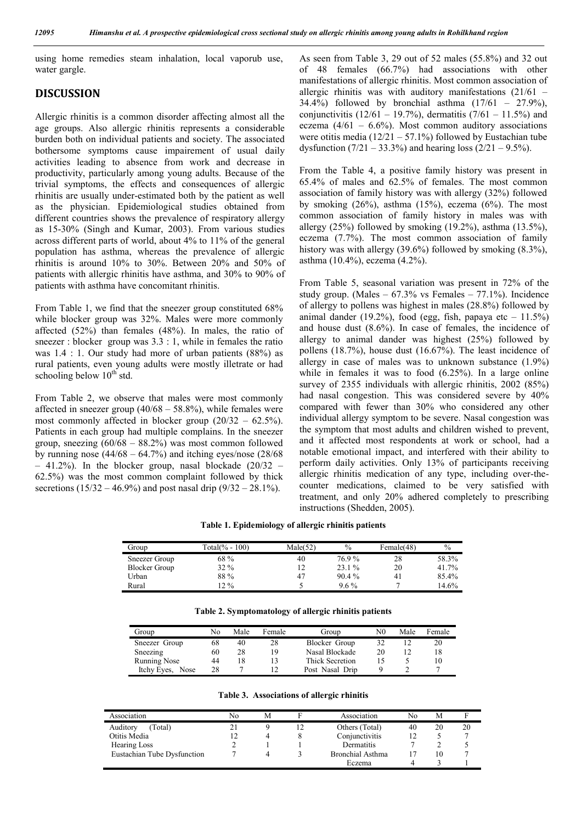using home remedies steam inhalation, local vaporub use, water gargle.

### **DISCUSSION**

Allergic rhinitis is a common disorder affecting almost all the age groups. Also allergic rhinitis represents a considerable burden both on individual patients and society. The associated bothersome symptoms cause impairement of usual daily activities leading to absence from work and decrease in productivity, particularly among young adults. Because of the trivial symptoms, the effects and consequences of allergic rhinitis are usually under-estimated both by the patient as well as the physician. Epidemiological studies obtained from different countries shows the prevalence of respiratory allergy as 15-30% (Singh and Kumar, 2003). From various studies across different parts of world, about 4% to 11% of the general population has asthma, whereas the prevalence of allergic rhinitis is around 10% to 30%. Between 20% and 50% of patients with allergic rhinitis have asthma, and 30% to 90% of patients with asthma have concomitant rhinitis.

From Table 1, we find that the sneezer group constituted 68% while blocker group was 32%. Males were more commonly affected (52%) than females (48%). In males, the ratio of sneezer : blocker group was 3.3 : 1, while in females the ratio was 1.4 : 1. Our study had more of urban patients (88%) as rural patients, even young adults were mostly illetrate or had schooling below  $10<sup>th</sup>$  std.

From Table 2, we observe that males were most commonly affected in sneezer group  $(40/68 - 58.8\%)$ , while females were most commonly affected in blocker group (20/32 – 62.5%). Patients in each group had multiple complains. In the sneezer group, sneezing (60/68 – 88.2%) was most common followed by running nose  $(44/68 - 64.7%)$  and itching eyes/nose  $(28/68)$  $-41.2\%$ ). In the blocker group, nasal blockade  $(20/32 -$ 62.5%) was the most common complaint followed by thick secretions  $(15/32 - 46.9%)$  and post nasal drip  $(9/32 - 28.1%)$ .

As seen from Table 3, 29 out of 52 males (55.8%) and 32 out of 48 females (66.7%) had associations with other manifestations of allergic rhinitis. Most common association of allergic rhinitis was with auditory manifestations (21/61 – 34.4%) followed by bronchial asthma (17/61 – 27.9%), conjunctivitis  $(12/61 - 19.7%)$ , dermatitis  $(7/61 - 11.5%)$  and eczema  $(4/61 - 6.6\%)$ . Most common auditory associations were otitis media  $(12/21 - 57.1%)$  followed by Eustachian tube dysfunction  $(7/21 - 33.3\%)$  and hearing loss  $(2/21 - 9.5\%)$ .

From the Table 4, a positive family history was present in 65.4% of males and 62.5% of females. The most common association of family history was with allergy (32%) followed by smoking  $(26\%)$ , asthma  $(15\%)$ , eczema  $(6\%)$ . The most common association of family history in males was with allergy  $(25\%)$  followed by smoking  $(19.2\%)$ , asthma  $(13.5\%)$ , eczema (7.7%). The most common association of family history was with allergy (39.6%) followed by smoking (8.3%), asthma (10.4%), eczema (4.2%).

From Table 5, seasonal variation was present in 72% of the study group. (Males –  $67.3\%$  vs Females –  $77.1\%$ ). Incidence of allergy to pollens was highest in males (28.8%) followed by animal dander (19.2%), food (egg, fish, papaya etc  $-11.5\%$ ) and house dust (8.6%). In case of females, the incidence of allergy to animal dander was highest (25%) followed by pollens (18.7%), house dust (16.67%). The least incidence of allergy in case of males was to unknown substance (1.9%) while in females it was to food  $(6.25\%)$ . In a large online survey of 2355 individuals with allergic rhinitis, 2002 (85%) had nasal congestion. This was considered severe by 40% compared with fewer than 30% who considered any other individual allergy symptom to be severe. Nasal congestion was the symptom that most adults and children wished to prevent, and it affected most respondents at work or school, had a notable emotional impact, and interfered with their ability to perform daily activities. Only 13% of participants receiving allergic rhinitis medication of any type, including over-thecounter medications, claimed to be very satisfied with treatment, and only 20% adhered completely to prescribing instructions (Shedden, 2005).

**Table 1. Epidemiology of allergic rhinitis patients**

| Group                | Total(% - 100) | Male(52) | $\%$     | Female(48) | $\%$  |
|----------------------|----------------|----------|----------|------------|-------|
| Sneezer Group        | 68 %           | 40       | 76.9%    | 28         | 58.3% |
| <b>Blocker Group</b> | $32\%$         |          | 23.1 %   | 20         | 41.7% |
| Urban                | 88%            | 47       | $90.4\%$ | 41         | 85.4% |
| Rural                | $12\%$         |          | $9.6\%$  |            | 14.6% |

| Group               | No | Male | Female | Group           | N0 | Male | Female |
|---------------------|----|------|--------|-----------------|----|------|--------|
| Sneezer Group       | 68 | 40   | 28     | Blocker Group   | 32 |      | 20     |
| Sneezing            | 60 | 28   | 19     | Nasal Blockade  | 20 |      |        |
| Running Nose        | 44 | 18   |        | Thick Secretion |    |      |        |
| Itchy Eyes.<br>Nose | 28 |      |        | Post Nasal Drip |    |      |        |

**Table 2. Symptomatology of allergic rhinitis patients**

**Table 3. Associations of allergic rhinitis**

| Association                 | No | M | Association      | No | M  | F  |
|-----------------------------|----|---|------------------|----|----|----|
| Auditory<br>Total)          |    |   | Others (Total)   | 40 | 20 | 20 |
| Otitis Media                |    |   | Conjunctivitis   |    |    |    |
| Hearing Loss                |    |   | Dermatitis       |    |    |    |
| Eustachian Tube Dysfunction |    |   | Bronchial Asthma |    | 10 |    |
|                             |    |   | Eczema           |    |    |    |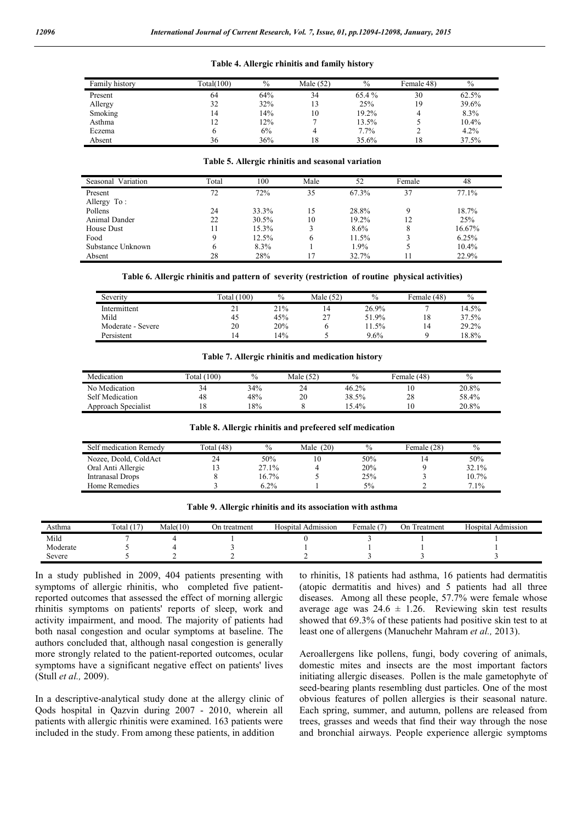#### **Table 4. Allergic rhinitis and family history**

| Family history | Total(100) | $\frac{0}{0}$ | Male $(52)$ | $\frac{0}{0}$ | Female 48) | $\%$  |
|----------------|------------|---------------|-------------|---------------|------------|-------|
| Present        | 64         | 64%           | 34          | 65.4 %        | 30         | 62.5% |
| Allergy        | 32         | 32%           | 13          | 25%           | 19         | 39.6% |
| Smoking        | 14         | 14%           | 10          | 19.2%         |            | 8.3%  |
| Asthma         |            | 12%           |             | 13.5%         |            | 10.4% |
| Eczema         |            | 6%            | 4           | 7.7%          |            | 4.2%  |
| Absent         | 36         | 36%           | 18          | 35.6%         | 18         | 37.5% |

#### **Table 5. Allergic rhinitis and seasonal variation**

| Variation<br>Seasonal | Total | 100   | Male | 52    | Female | 48     |
|-----------------------|-------|-------|------|-------|--------|--------|
| Present               | 72    | 72%   | 35   | 67.3% | 37     | 77.1%  |
| Allergy To:           |       |       |      |       |        |        |
| Pollens               | 24    | 33.3% | 15   | 28.8% | Q      | 18.7%  |
| Animal Dander         | 22    | 30.5% | 10   | 19.2% | 12     | 25%    |
| House Dust            | 11    | 15.3% |      | 8.6%  | 8      | 16.67% |
| Food                  | 9     | 12.5% | 6    | 11.5% | G      | 6.25%  |
| Substance Unknown     | 6     | 8.3%  |      | 1.9%  |        | 10.4%  |
| Absent                | 28    | 28%   |      | 32.7% |        | 22.9%  |

**Table 6. Allergic rhinitis and pattern of severity (restriction of routine physical activities)**

| Severity          | Total (100) | $\%$ | Male (52) | $\frac{0}{0}$ | Female (48) | $\%$     |
|-------------------|-------------|------|-----------|---------------|-------------|----------|
| Intermittent      | - 1         | 21%  | 14        | 26.9%         |             | $14.5\%$ |
| Mild              | 45          | 45%  | 27        | 51.9%         | 18          | 37.5%    |
| Moderate - Severe | 20          | 20%  |           | $1.5\%$       | 14          | 29.2%    |
| Persistent        | 14          | 14%  |           | 9.6%          |             | 18.8%    |

#### **Table 7. Allergic rhinitis and medication history**

| Medication             | (100)<br>otal | $\mathbf{0}$ | Male $(52)$ | $\%$  | Female $(48)$ | $\%$  |
|------------------------|---------------|--------------|-------------|-------|---------------|-------|
| No Medication          |               | 34%          | 24          | 46.2% |               | 20.8% |
| <b>Self Medication</b> | 48            | 48%          | 20          | 38.5% | 28            | 58.4% |
| Approach Specialist    | 10            | 8%           |             | .4%   |               | 20.8% |

**Table 8. Allergic rhinitis and prefeered self medication**

| Self medication Remedy | Total (48) | $\frac{0}{0}$ | Male $(20)$ | $\frac{0}{0}$ | Female (28) | $\%$    |
|------------------------|------------|---------------|-------------|---------------|-------------|---------|
| Nozee, Dcold, ColdAct  | 24         | 50%           |             | 50%           | ۱4          | 50%     |
| Oral Anti Allergic     |            | 27.1%         |             | 20%           |             | 32.1%   |
| Intranasal Drops       |            | 16.7%         |             | 25%           |             | 10.7%   |
| Home Remedies          |            | $6.2\%$       |             | 5%            |             | $7.1\%$ |

| Table 9. Allergic rhinitis and its association with asthma |  |  |  |  |
|------------------------------------------------------------|--|--|--|--|
|------------------------------------------------------------|--|--|--|--|

| Asthma   | $\sim$<br>(17)<br>rotal ( | Male(10) | i treatment<br>. )n | Hospital Admission | emale ( | On<br>Treatment | Admission<br>Hospital |
|----------|---------------------------|----------|---------------------|--------------------|---------|-----------------|-----------------------|
| Mild     |                           |          |                     |                    |         |                 |                       |
| Moderate |                           |          |                     |                    |         |                 |                       |
| Severe   |                           |          |                     |                    |         |                 |                       |

In a study published in 2009, 404 patients presenting with symptoms of allergic rhinitis, who completed five patientreported outcomes that assessed the effect of morning allergic rhinitis symptoms on patients' reports of sleep, work and activity impairment, and mood. The majority of patients had both nasal congestion and ocular symptoms at baseline. The authors concluded that, although nasal congestion is generally more strongly related to the patient-reported outcomes, ocular symptoms have a significant negative effect on patients' lives (Stull *et al.,* 2009).

In a descriptive-analytical study done at the allergy clinic of Qods hospital in Qazvin during 2007 - 2010, wherein all patients with allergic rhinitis were examined. 163 patients were included in the study. From among these patients, in addition

to rhinitis, 18 patients had asthma, 16 patients had dermatitis (atopic dermatitis and hives) and 5 patients had all three diseases. Among all these people, 57.7% were female whose average age was  $24.6 \pm 1.26$ . Reviewing skin test results showed that 69.3% of these patients had positive skin test to at least one of allergens (Manuchehr Mahram *et al.,* 2013).

Aeroallergens like pollens, fungi, body covering of animals, domestic mites and insects are the most important factors initiating allergic diseases. Pollen is the male gametophyte of seed-bearing plants resembling dust particles. One of the most obvious features of pollen allergies is their seasonal nature. Each spring, summer, and autumn, pollens are released from trees, grasses and weeds that find their way through the nose and bronchial airways. People experience allergic symptoms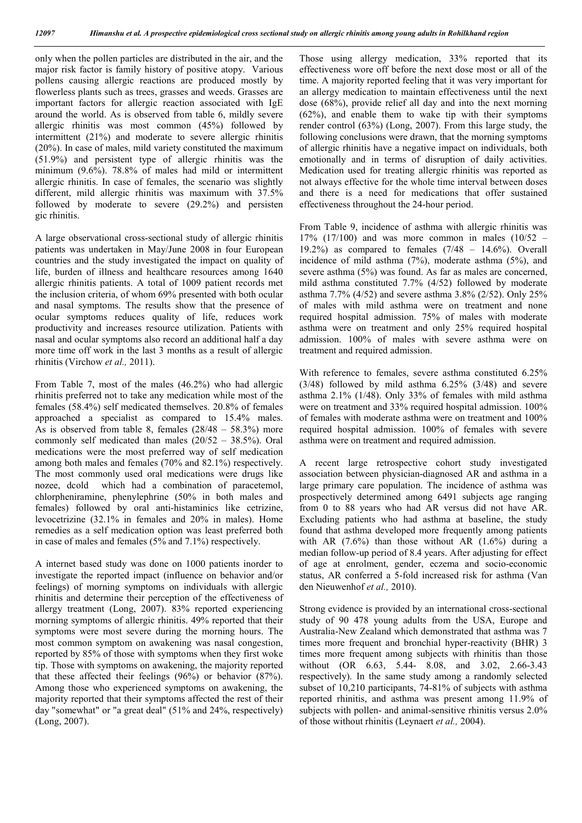only when the pollen particles are distributed in the air, and the major risk factor is family history of positive atopy. Various pollens causing allergic reactions are produced mostly by flowerless plants such as trees, grasses and weeds. Grasses are important factors for allergic reaction associated with IgE around the world. As is observed from table 6, mildly severe allergic rhinitis was most common (45%) followed by intermittent (21%) and moderate to severe allergic rhinitis (20%). In case of males, mild variety constituted the maximum (51.9%) and persistent type of allergic rhinitis was the minimum (9.6%). 78.8% of males had mild or intermittent allergic rhinitis. In case of females, the scenario was slightly different, mild allergic rhinitis was maximum with 37.5% followed by moderate to severe (29.2%) and persisten gic rhinitis.

A large observational cross-sectional study of allergic rhinitis patients was undertaken in May/June 2008 in four European countries and the study investigated the impact on quality of life, burden of illness and healthcare resources among 1640 allergic rhinitis patients. A total of 1009 patient records met the inclusion criteria, of whom 69% presented with both ocular and nasal symptoms. The results show that the presence of ocular symptoms reduces quality of life, reduces work productivity and increases resource utilization. Patients with nasal and ocular symptoms also record an additional half a day more time off work in the last 3 months as a result of allergic rhinitis (Virchow *et al.,* 2011).

From Table 7, most of the males (46.2%) who had allergic rhinitis preferred not to take any medication while most of the females (58.4%) self medicated themselves. 20.8% of females approached a specialist as compared to 15.4% males. As is observed from table 8, females (28/48 – 58.3%) more commonly self medicated than males (20/52 – 38.5%). Oral medications were the most preferred way of self medication among both males and females (70% and 82.1%) respectively. The most commonly used oral medications were drugs like nozee, dcold which had a combination of paracetemol, chlorpheniramine, phenylephrine (50% in both males and females) followed by oral anti-histaminics like cetrizine, levocetrizine (32.1% in females and 20% in males). Home remedies as a self medication option was least preferred both in case of males and females (5% and 7.1%) respectively.

A internet based study was done on 1000 patients inorder to investigate the reported impact (influence on behavior and/or feelings) of morning symptoms on individuals with allergic rhinitis and determine their perception of the effectiveness of allergy treatment (Long, 2007). 83% reported experiencing morning symptoms of allergic rhinitis. 49% reported that their symptoms were most severe during the morning hours. The most common symptom on awakening was nasal congestion, reported by 85% of those with symptoms when they first woke tip. Those with symptoms on awakening, the majority reported that these affected their feelings (96%) or behavior (87%). Among those who experienced symptoms on awakening, the majority reported that their symptoms affected the rest of their day "somewhat" or "a great deal" (51% and 24%, respectively) (Long, 2007).

Those using allergy medication, 33% reported that its effectiveness wore off before the next dose most or all of the time. A majority reported feeling that it was very important for an allergy medication to maintain effectiveness until the next dose (68%), provide relief all day and into the next morning (62%), and enable them to wake tip with their symptoms render control (63%) (Long, 2007). From this large study, the following conclusions were drawn, that the morning symptoms of allergic rhinitis have a negative impact on individuals, both emotionally and in terms of disruption of daily activities. Medication used for treating allergic rhinitis was reported as not always effective for the whole time interval between doses and there is a need for medications that offer sustained effectiveness throughout the 24-hour period.

From Table 9, incidence of asthma with allergic rhinitis was 17% (17/100) and was more common in males (10/52 – 19.2%) as compared to females  $(7/48 - 14.6%)$ . Overall incidence of mild asthma (7%), moderate asthma (5%), and severe asthma (5%) was found. As far as males are concerned, mild asthma constituted 7.7% (4/52) followed by moderate asthma 7.7% (4/52) and severe asthma 3.8% (2/52). Only 25% of males with mild asthma were on treatment and none required hospital admission. 75% of males with moderate asthma were on treatment and only 25% required hospital admission. 100% of males with severe asthma were on treatment and required admission.

With reference to females, severe asthma constituted 6.25% (3/48) followed by mild asthma 6.25% (3/48) and severe asthma 2.1% (1/48). Only 33% of females with mild asthma were on treatment and 33% required hospital admission. 100% of females with moderate asthma were on treatment and 100% required hospital admission. 100% of females with severe asthma were on treatment and required admission.

A recent large retrospective cohort study investigated association between physician-diagnosed AR and asthma in a large primary care population. The incidence of asthma was prospectively determined among 6491 subjects age ranging from 0 to 88 years who had AR versus did not have AR. Excluding patients who had asthma at baseline, the study found that asthma developed more frequently among patients with AR  $(7.6\%)$  than those without AR  $(1.6\%)$  during a median follow-up period of 8.4 years. After adjusting for effect of age at enrolment, gender, eczema and socio-economic status, AR conferred a 5-fold increased risk for asthma (Van den Nieuwenhof *et al.,* 2010).

Strong evidence is provided by an international cross-sectional study of 90 478 young adults from the USA, Europe and Australia-New Zealand which demonstrated that asthma was 7 times more frequent and bronchial hyper-reactivity (BHR) 3 times more frequent among subjects with rhinitis than those without (OR 6.63, 5.44- 8.08, and 3.02, 2.66-3.43 respectively). In the same study among a randomly selected subset of 10,210 participants, 74-81% of subjects with asthma reported rhinitis, and asthma was present among 11.9% of subjects with pollen- and animal-sensitive rhinitis versus 2.0% of those without rhinitis (Leynaert *et al.,* 2004).